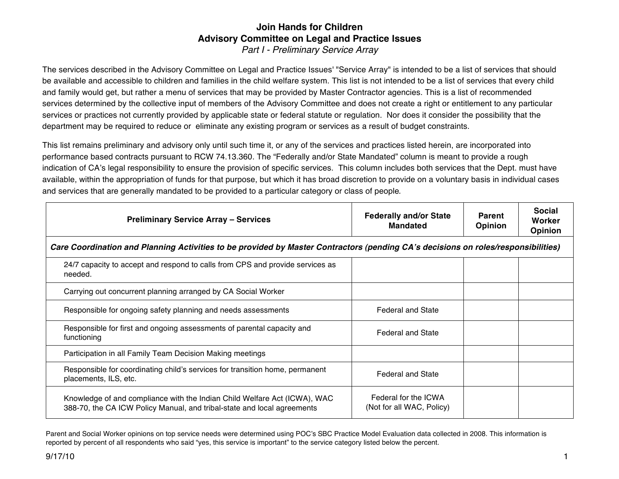## **Join Hands for Children Advisory Committee on Legal and Practice Issues** *Part I - Preliminary Service Array*

The services described in the Advisory Committee on Legal and Practice Issues' "Service Array" is intended to be a list of services that should be available and accessible to children and families in the child welfare system. This list is not intended to be a list of services that every child and family would get, but rather a menu of services that may be provided by Master Contractor agencies. This is a list of recommended services determined by the collective input of members of the Advisory Committee and does not create a right or entitlement to any particular services or practices not currently provided by applicable state or federal statute or regulation. Nor does it consider the possibility that the department may be required to reduce or eliminate any existing program or services as a result of budget constraints.

This list remains preliminary and advisory only until such time it, or any of the services and practices listed herein, are incorporated into performance based contracts pursuant to RCW 74.13.360. The "Federally and/or State Mandated" column is meant to provide a rough indication of CA's legal responsibility to ensure the provision of specific services. This column includes both services that the Dept. must have available, within the appropriation of funds for that purpose, but which it has broad discretion to provide on a voluntary basis in individual cases and services that are generally mandated to be provided to a particular category or class of people*.*

| <b>Preliminary Service Array - Services</b>                                                                                                          | <b>Federally and/or State</b><br><b>Mandated</b>  | <b>Parent</b><br><b>Opinion</b> | <b>Social</b><br>Worker<br><b>Opinion</b> |
|------------------------------------------------------------------------------------------------------------------------------------------------------|---------------------------------------------------|---------------------------------|-------------------------------------------|
| Care Coordination and Planning Activities to be provided by Master Contractors (pending CA's decisions on roles/responsibilities)                    |                                                   |                                 |                                           |
| 24/7 capacity to accept and respond to calls from CPS and provide services as<br>needed.                                                             |                                                   |                                 |                                           |
| Carrying out concurrent planning arranged by CA Social Worker                                                                                        |                                                   |                                 |                                           |
| Responsible for ongoing safety planning and needs assessments                                                                                        | <b>Federal and State</b>                          |                                 |                                           |
| Responsible for first and ongoing assessments of parental capacity and<br>functioning                                                                | <b>Federal and State</b>                          |                                 |                                           |
| Participation in all Family Team Decision Making meetings                                                                                            |                                                   |                                 |                                           |
| Responsible for coordinating child's services for transition home, permanent<br>placements, ILS, etc.                                                | <b>Federal and State</b>                          |                                 |                                           |
| Knowledge of and compliance with the Indian Child Welfare Act (ICWA), WAC<br>388-70, the CA ICW Policy Manual, and tribal-state and local agreements | Federal for the ICWA<br>(Not for all WAC, Policy) |                                 |                                           |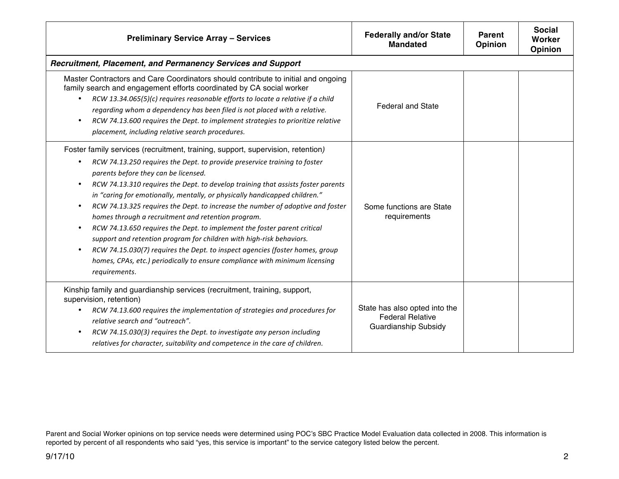| <b>Preliminary Service Array - Services</b>                                                                                                                                                                                                                                                                                                                                                                                                                                                                                                                                                                                                                                                                                                                                                                                                        | <b>Federally and/or State</b><br><b>Mandated</b>                                        | <b>Parent</b><br><b>Opinion</b> | <b>Social</b><br>Worker<br>Opinion |
|----------------------------------------------------------------------------------------------------------------------------------------------------------------------------------------------------------------------------------------------------------------------------------------------------------------------------------------------------------------------------------------------------------------------------------------------------------------------------------------------------------------------------------------------------------------------------------------------------------------------------------------------------------------------------------------------------------------------------------------------------------------------------------------------------------------------------------------------------|-----------------------------------------------------------------------------------------|---------------------------------|------------------------------------|
| Recruitment, Placement, and Permanency Services and Support                                                                                                                                                                                                                                                                                                                                                                                                                                                                                                                                                                                                                                                                                                                                                                                        |                                                                                         |                                 |                                    |
| Master Contractors and Care Coordinators should contribute to initial and ongoing<br>family search and engagement efforts coordinated by CA social worker<br>RCW 13.34.065(5)(c) requires reasonable efforts to locate a relative if a child<br>$\bullet$<br>regarding whom a dependency has been filed is not placed with a relative.<br>RCW 74.13.600 requires the Dept. to implement strategies to prioritize relative<br>$\bullet$<br>placement, including relative search procedures.                                                                                                                                                                                                                                                                                                                                                         | <b>Federal and State</b>                                                                |                                 |                                    |
| Foster family services (recruitment, training, support, supervision, retention)<br>RCW 74.13.250 requires the Dept. to provide preservice training to foster<br>parents before they can be licensed.<br>RCW 74.13.310 requires the Dept. to develop training that assists foster parents<br>in "caring for emotionally, mentally, or physically handicapped children."<br>RCW 74.13.325 requires the Dept. to increase the number of adoptive and foster<br>homes through a recruitment and retention program.<br>RCW 74.13.650 requires the Dept. to implement the foster parent critical<br>support and retention program for children with high-risk behaviors.<br>RCW 74.15.030(7) requires the Dept. to inspect agencies (foster homes, group<br>homes, CPAs, etc.) periodically to ensure compliance with minimum licensing<br>requirements. | Some functions are State<br>requirements                                                |                                 |                                    |
| Kinship family and guardianship services (recruitment, training, support,<br>supervision, retention)<br>RCW 74.13.600 requires the implementation of strategies and procedures for<br>relative search and "outreach".<br>RCW 74.15.030(3) requires the Dept. to investigate any person including<br>relatives for character, suitability and competence in the care of children.                                                                                                                                                                                                                                                                                                                                                                                                                                                                   | State has also opted into the<br><b>Federal Relative</b><br><b>Guardianship Subsidy</b> |                                 |                                    |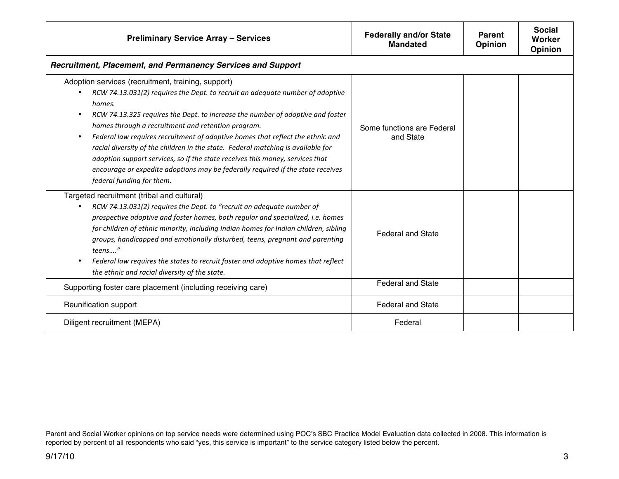| <b>Preliminary Service Array - Services</b>                                                                                                                                                                                                                                                                                                                                                                                                                                                                                                                                                                                                                            | <b>Federally and/or State</b><br><b>Mandated</b> | <b>Parent</b><br>Opinion | <b>Social</b><br>Worker<br><b>Opinion</b> |
|------------------------------------------------------------------------------------------------------------------------------------------------------------------------------------------------------------------------------------------------------------------------------------------------------------------------------------------------------------------------------------------------------------------------------------------------------------------------------------------------------------------------------------------------------------------------------------------------------------------------------------------------------------------------|--------------------------------------------------|--------------------------|-------------------------------------------|
| Recruitment, Placement, and Permanency Services and Support                                                                                                                                                                                                                                                                                                                                                                                                                                                                                                                                                                                                            |                                                  |                          |                                           |
| Adoption services (recruitment, training, support)<br>RCW 74.13.031(2) requires the Dept. to recruit an adequate number of adoptive<br>homes.<br>RCW 74.13.325 requires the Dept. to increase the number of adoptive and foster<br>٠<br>homes through a recruitment and retention program.<br>Federal law requires recruitment of adoptive homes that reflect the ethnic and<br>٠<br>racial diversity of the children in the state. Federal matching is available for<br>adoption support services, so if the state receives this money, services that<br>encourage or expedite adoptions may be federally required if the state receives<br>federal funding for them. | Some functions are Federal<br>and State          |                          |                                           |
| Targeted recruitment (tribal and cultural)<br>RCW 74.13.031(2) requires the Dept. to "recruit an adequate number of<br>prospective adoptive and foster homes, both regular and specialized, i.e. homes<br>for children of ethnic minority, including Indian homes for Indian children, sibling<br>groups, handicapped and emotionally disturbed, teens, pregnant and parenting<br>teens"<br>Federal law requires the states to recruit foster and adoptive homes that reflect<br>the ethnic and racial diversity of the state.                                                                                                                                         | <b>Federal and State</b>                         |                          |                                           |
| Supporting foster care placement (including receiving care)                                                                                                                                                                                                                                                                                                                                                                                                                                                                                                                                                                                                            | <b>Federal and State</b>                         |                          |                                           |
| Reunification support                                                                                                                                                                                                                                                                                                                                                                                                                                                                                                                                                                                                                                                  | <b>Federal and State</b>                         |                          |                                           |
| Diligent recruitment (MEPA)                                                                                                                                                                                                                                                                                                                                                                                                                                                                                                                                                                                                                                            | Federal                                          |                          |                                           |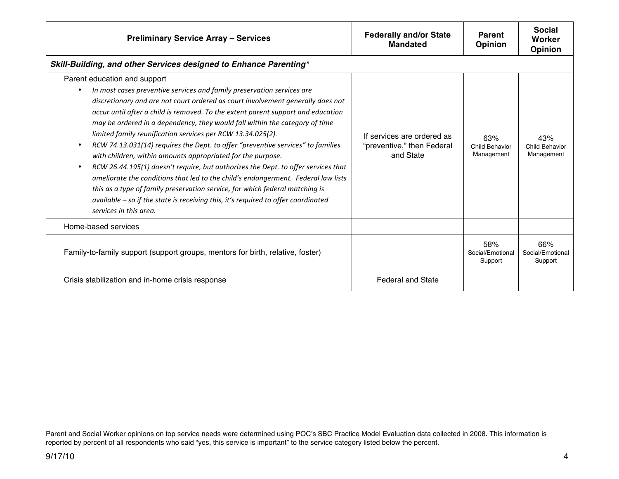| <b>Preliminary Service Array - Services</b>                                                                                                                                                                                                                                                                                                                                                                                                                                                                                                                                                                                                                                                                                                                                                                                                                                                                                                            | <b>Federally and/or State</b><br><b>Mandated</b>                      | <b>Parent</b><br><b>Opinion</b>            | <b>Social</b><br>Worker<br><b>Opinion</b> |
|--------------------------------------------------------------------------------------------------------------------------------------------------------------------------------------------------------------------------------------------------------------------------------------------------------------------------------------------------------------------------------------------------------------------------------------------------------------------------------------------------------------------------------------------------------------------------------------------------------------------------------------------------------------------------------------------------------------------------------------------------------------------------------------------------------------------------------------------------------------------------------------------------------------------------------------------------------|-----------------------------------------------------------------------|--------------------------------------------|-------------------------------------------|
| Skill-Building, and other Services designed to Enhance Parenting*                                                                                                                                                                                                                                                                                                                                                                                                                                                                                                                                                                                                                                                                                                                                                                                                                                                                                      |                                                                       |                                            |                                           |
| Parent education and support<br>In most cases preventive services and family preservation services are<br>discretionary and are not court ordered as court involvement generally does not<br>occur until after a child is removed. To the extent parent support and education<br>may be ordered in a dependency, they would fall within the category of time<br>limited family reunification services per RCW 13.34.025(2).<br>RCW 74.13.031(14) requires the Dept. to offer "preventive services" to families<br>with children, within amounts appropriated for the purpose.<br>RCW 26.44.195(1) doesn't require, but authorizes the Dept. to offer services that<br>ameliorate the conditions that led to the child's endangerment. Federal law lists<br>this as a type of family preservation service, for which federal matching is<br>available - so if the state is receiving this, it's required to offer coordinated<br>services in this area. | If services are ordered as<br>"preventive," then Federal<br>and State | 63%<br><b>Child Behavior</b><br>Management | 43%<br>Child Behavior<br>Management       |
| Home-based services                                                                                                                                                                                                                                                                                                                                                                                                                                                                                                                                                                                                                                                                                                                                                                                                                                                                                                                                    |                                                                       |                                            |                                           |
| Family-to-family support (support groups, mentors for birth, relative, foster)                                                                                                                                                                                                                                                                                                                                                                                                                                                                                                                                                                                                                                                                                                                                                                                                                                                                         |                                                                       | 58%<br>Social/Emotional<br>Support         | 66%<br>Social/Emotional<br>Support        |
| Crisis stabilization and in-home crisis response                                                                                                                                                                                                                                                                                                                                                                                                                                                                                                                                                                                                                                                                                                                                                                                                                                                                                                       | <b>Federal and State</b>                                              |                                            |                                           |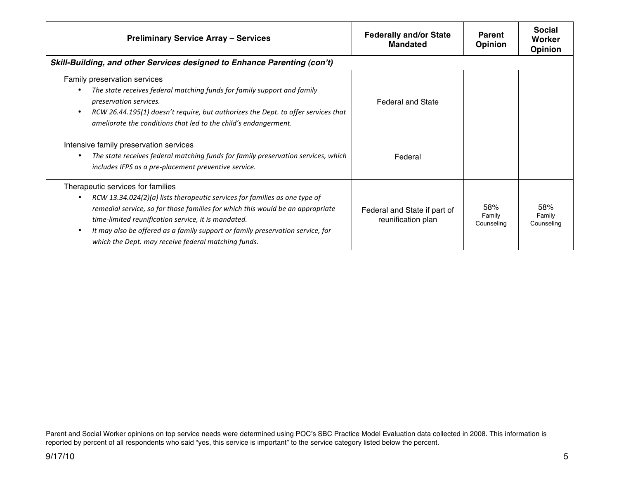| <b>Preliminary Service Array - Services</b>                                                                                                                                                                                                                                                                                                                                                       | <b>Federally and/or State</b><br><b>Mandated</b>   | <b>Parent</b><br><b>Opinion</b> | <b>Social</b><br>Worker<br><b>Opinion</b> |
|---------------------------------------------------------------------------------------------------------------------------------------------------------------------------------------------------------------------------------------------------------------------------------------------------------------------------------------------------------------------------------------------------|----------------------------------------------------|---------------------------------|-------------------------------------------|
| Skill-Building, and other Services designed to Enhance Parenting (con't)                                                                                                                                                                                                                                                                                                                          |                                                    |                                 |                                           |
| Family preservation services<br>The state receives federal matching funds for family support and family<br>preservation services.<br>RCW 26.44.195(1) doesn't require, but authorizes the Dept. to offer services that<br>ameliorate the conditions that led to the child's endangerment.                                                                                                         | <b>Federal and State</b>                           |                                 |                                           |
| Intensive family preservation services<br>The state receives federal matching funds for family preservation services, which<br>includes IFPS as a pre-placement preventive service.                                                                                                                                                                                                               | Federal                                            |                                 |                                           |
| Therapeutic services for families<br>RCW 13.34.024(2)(a) lists therapeutic services for families as one type of<br>remedial service, so for those families for which this would be an appropriate<br>time-limited reunification service, it is mandated.<br>It may also be offered as a family support or family preservation service, for<br>which the Dept. may receive federal matching funds. | Federal and State if part of<br>reunification plan | 58%<br>Family<br>Counseling     | 58%<br>Family<br>Counseling               |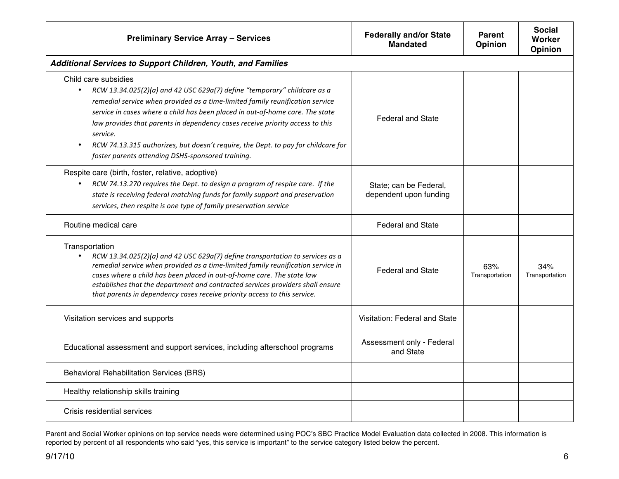| <b>Preliminary Service Array - Services</b>                                                                                                                                                                                                                                                                                                                                                                                                                                                                            | <b>Federally and/or State</b><br><b>Mandated</b> | <b>Parent</b><br>Opinion | <b>Social</b><br>Worker<br>Opinion |
|------------------------------------------------------------------------------------------------------------------------------------------------------------------------------------------------------------------------------------------------------------------------------------------------------------------------------------------------------------------------------------------------------------------------------------------------------------------------------------------------------------------------|--------------------------------------------------|--------------------------|------------------------------------|
| Additional Services to Support Children, Youth, and Families                                                                                                                                                                                                                                                                                                                                                                                                                                                           |                                                  |                          |                                    |
| Child care subsidies<br>RCW 13.34.025(2)(a) and 42 USC 629a(7) define "temporary" childcare as a<br>$\bullet$<br>remedial service when provided as a time-limited family reunification service<br>service in cases where a child has been placed in out-of-home care. The state<br>law provides that parents in dependency cases receive priority access to this<br>service.<br>RCW 74.13.315 authorizes, but doesn't require, the Dept. to pay for childcare for<br>foster parents attending DSHS-sponsored training. | <b>Federal and State</b>                         |                          |                                    |
| Respite care (birth, foster, relative, adoptive)<br>RCW 74.13.270 requires the Dept. to design a program of respite care. If the<br>state is receiving federal matching funds for family support and preservation<br>services, then respite is one type of family preservation service                                                                                                                                                                                                                                 | State; can be Federal,<br>dependent upon funding |                          |                                    |
| Routine medical care                                                                                                                                                                                                                                                                                                                                                                                                                                                                                                   | <b>Federal and State</b>                         |                          |                                    |
| Transportation<br>$\bullet$<br>RCW 13.34.025(2)(a) and 42 USC 629a(7) define transportation to services as a<br>remedial service when provided as a time-limited family reunification service in<br>cases where a child has been placed in out-of-home care. The state law<br>establishes that the department and contracted services providers shall ensure<br>that parents in dependency cases receive priority access to this service.                                                                              | <b>Federal and State</b>                         | 63%<br>Transportation    | 34%<br>Transportation              |
| Visitation services and supports                                                                                                                                                                                                                                                                                                                                                                                                                                                                                       | Visitation: Federal and State                    |                          |                                    |
| Educational assessment and support services, including afterschool programs                                                                                                                                                                                                                                                                                                                                                                                                                                            | Assessment only - Federal<br>and State           |                          |                                    |
| <b>Behavioral Rehabilitation Services (BRS)</b>                                                                                                                                                                                                                                                                                                                                                                                                                                                                        |                                                  |                          |                                    |
| Healthy relationship skills training                                                                                                                                                                                                                                                                                                                                                                                                                                                                                   |                                                  |                          |                                    |
| Crisis residential services                                                                                                                                                                                                                                                                                                                                                                                                                                                                                            |                                                  |                          |                                    |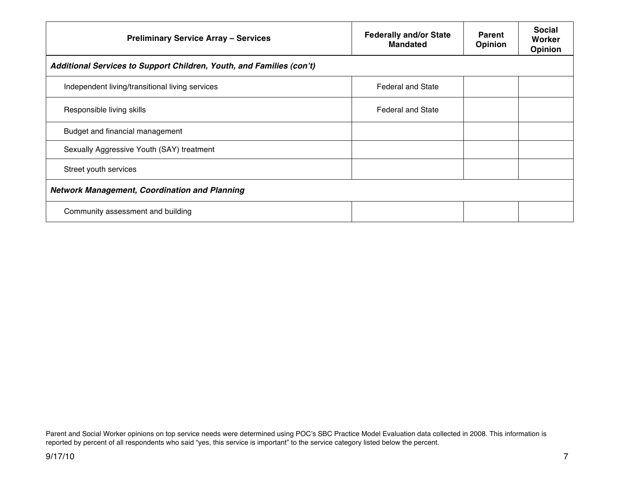| <b>Preliminary Service Array - Services</b>                          | <b>Federally and/or State</b><br><b>Mandated</b> | <b>Parent</b><br>Opinion | <b>Social</b><br>Worker<br>Opinion |
|----------------------------------------------------------------------|--------------------------------------------------|--------------------------|------------------------------------|
| Additional Services to Support Children, Youth, and Families (con't) |                                                  |                          |                                    |
| Independent living/transitional living services                      | <b>Federal and State</b>                         |                          |                                    |
| Responsible living skills                                            | <b>Federal and State</b>                         |                          |                                    |
| Budget and financial management                                      |                                                  |                          |                                    |
| Sexually Aggressive Youth (SAY) treatment                            |                                                  |                          |                                    |
| Street youth services                                                |                                                  |                          |                                    |
| <b>Network Management, Coordination and Planning</b>                 |                                                  |                          |                                    |
| Community assessment and building                                    |                                                  |                          |                                    |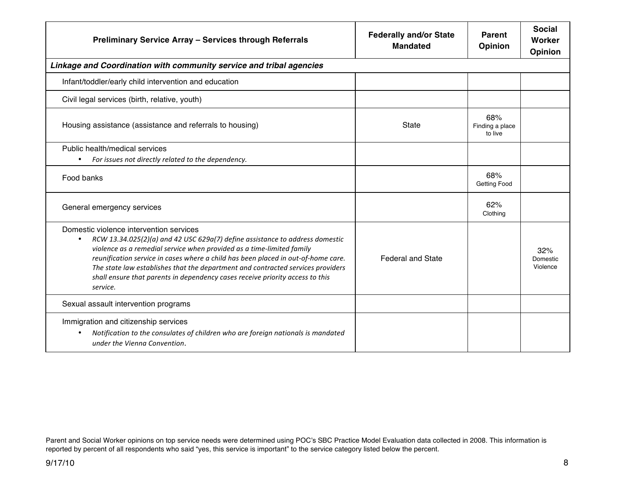| Preliminary Service Array - Services through Referrals                                                                                                                                                                                                                                                                                                                                                                                                                             | <b>Federally and/or State</b><br><b>Mandated</b> | Parent<br><b>Opinion</b>          | <b>Social</b><br>Worker<br><b>Opinion</b> |
|------------------------------------------------------------------------------------------------------------------------------------------------------------------------------------------------------------------------------------------------------------------------------------------------------------------------------------------------------------------------------------------------------------------------------------------------------------------------------------|--------------------------------------------------|-----------------------------------|-------------------------------------------|
| Linkage and Coordination with community service and tribal agencies                                                                                                                                                                                                                                                                                                                                                                                                                |                                                  |                                   |                                           |
| Infant/toddler/early child intervention and education                                                                                                                                                                                                                                                                                                                                                                                                                              |                                                  |                                   |                                           |
| Civil legal services (birth, relative, youth)                                                                                                                                                                                                                                                                                                                                                                                                                                      |                                                  |                                   |                                           |
| Housing assistance (assistance and referrals to housing)                                                                                                                                                                                                                                                                                                                                                                                                                           | State                                            | 68%<br>Finding a place<br>to live |                                           |
| Public health/medical services                                                                                                                                                                                                                                                                                                                                                                                                                                                     |                                                  |                                   |                                           |
| For issues not directly related to the dependency.<br>$\bullet$                                                                                                                                                                                                                                                                                                                                                                                                                    |                                                  |                                   |                                           |
| Food banks                                                                                                                                                                                                                                                                                                                                                                                                                                                                         |                                                  | 68%<br><b>Getting Food</b>        |                                           |
| General emergency services                                                                                                                                                                                                                                                                                                                                                                                                                                                         |                                                  | 62%<br>Clothing                   |                                           |
| Domestic violence intervention services<br>RCW 13.34.025(2)(a) and 42 USC 629a(7) define assistance to address domestic<br>$\bullet$<br>violence as a remedial service when provided as a time-limited family<br>reunification service in cases where a child has been placed in out-of-home care.<br>The state law establishes that the department and contracted services providers<br>shall ensure that parents in dependency cases receive priority access to this<br>service. | <b>Federal and State</b>                         |                                   | 32%<br>Domestic<br>Violence               |
| Sexual assault intervention programs                                                                                                                                                                                                                                                                                                                                                                                                                                               |                                                  |                                   |                                           |
| Immigration and citizenship services<br>Notification to the consulates of children who are foreign nationals is mandated<br>٠<br>under the Vienna Convention.                                                                                                                                                                                                                                                                                                                      |                                                  |                                   |                                           |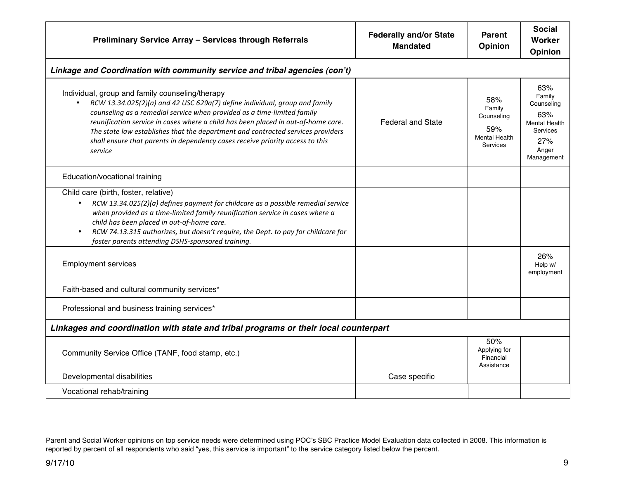| Preliminary Service Array - Services through Referrals                                                                                                                                                                                                                                                                                                                                                                                                                                    | <b>Federally and/or State</b><br><b>Mandated</b> | <b>Parent</b><br>Opinion                                               | <b>Social</b><br>Worker<br>Opinion                                                                   |
|-------------------------------------------------------------------------------------------------------------------------------------------------------------------------------------------------------------------------------------------------------------------------------------------------------------------------------------------------------------------------------------------------------------------------------------------------------------------------------------------|--------------------------------------------------|------------------------------------------------------------------------|------------------------------------------------------------------------------------------------------|
| Linkage and Coordination with community service and tribal agencies (con't)                                                                                                                                                                                                                                                                                                                                                                                                               |                                                  |                                                                        |                                                                                                      |
| Individual, group and family counseling/therapy<br>RCW 13.34.025(2)(a) and 42 USC 629a(7) define individual, group and family<br>$\bullet$<br>counseling as a remedial service when provided as a time-limited family<br>reunification service in cases where a child has been placed in out-of-home care.<br>The state law establishes that the department and contracted services providers<br>shall ensure that parents in dependency cases receive priority access to this<br>service | <b>Federal and State</b>                         | 58%<br>Family<br>Counseling<br>59%<br><b>Mental Health</b><br>Services | 63%<br>Family<br>Counseling<br>63%<br><b>Mental Health</b><br>Services<br>27%<br>Anger<br>Management |
| Education/vocational training                                                                                                                                                                                                                                                                                                                                                                                                                                                             |                                                  |                                                                        |                                                                                                      |
| Child care (birth, foster, relative)<br>RCW 13.34.025(2)(a) defines payment for childcare as a possible remedial service<br>$\bullet$<br>when provided as a time-limited family reunification service in cases where a<br>child has been placed in out-of-home care.<br>RCW 74.13.315 authorizes, but doesn't require, the Dept. to pay for childcare for<br>foster parents attending DSHS-sponsored training.                                                                            |                                                  |                                                                        |                                                                                                      |
| <b>Employment services</b>                                                                                                                                                                                                                                                                                                                                                                                                                                                                |                                                  |                                                                        | 26%<br>Help w/<br>employment                                                                         |
| Faith-based and cultural community services*                                                                                                                                                                                                                                                                                                                                                                                                                                              |                                                  |                                                                        |                                                                                                      |
| Professional and business training services*                                                                                                                                                                                                                                                                                                                                                                                                                                              |                                                  |                                                                        |                                                                                                      |
| Linkages and coordination with state and tribal programs or their local counterpart                                                                                                                                                                                                                                                                                                                                                                                                       |                                                  |                                                                        |                                                                                                      |
| Community Service Office (TANF, food stamp, etc.)                                                                                                                                                                                                                                                                                                                                                                                                                                         |                                                  | 50%<br>Applying for<br>Financial<br>Assistance                         |                                                                                                      |
| Developmental disabilities                                                                                                                                                                                                                                                                                                                                                                                                                                                                | Case specific                                    |                                                                        |                                                                                                      |
| Vocational rehab/training                                                                                                                                                                                                                                                                                                                                                                                                                                                                 |                                                  |                                                                        |                                                                                                      |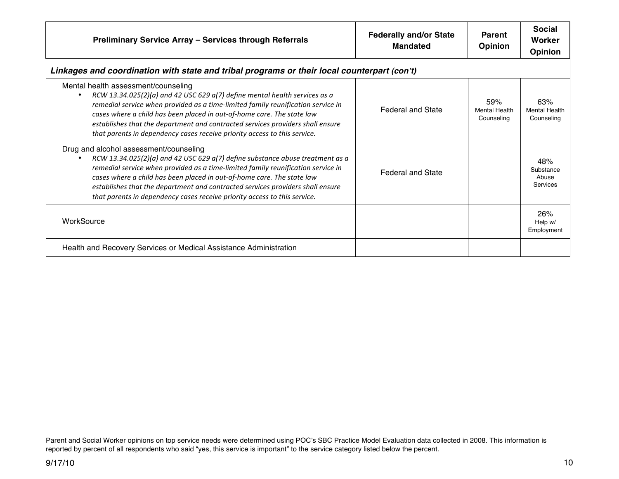| Preliminary Service Array - Services through Referrals                                                                                                                                                                                                                                                                                                                                                                                                 | <b>Federally and/or State</b><br><b>Mandated</b> | <b>Parent</b><br><b>Opinion</b>           | <b>Social</b><br>Worker<br><b>Opinion</b> |
|--------------------------------------------------------------------------------------------------------------------------------------------------------------------------------------------------------------------------------------------------------------------------------------------------------------------------------------------------------------------------------------------------------------------------------------------------------|--------------------------------------------------|-------------------------------------------|-------------------------------------------|
| Linkages and coordination with state and tribal programs or their local counterpart (con't)                                                                                                                                                                                                                                                                                                                                                            |                                                  |                                           |                                           |
| Mental health assessment/counseling<br>RCW 13.34.025(2)(a) and 42 USC 629 $a(7)$ define mental health services as a<br>remedial service when provided as a time-limited family reunification service in<br>cases where a child has been placed in out-of-home care. The state law<br>establishes that the department and contracted services providers shall ensure<br>that parents in dependency cases receive priority access to this service.       | <b>Federal and State</b>                         | 59%<br><b>Mental Health</b><br>Counseling | 63%<br><b>Mental Health</b><br>Counseling |
| Drug and alcohol assessment/counseling<br>RCW 13.34.025(2)(a) and 42 USC 629 $a(7)$ define substance abuse treatment as a<br>remedial service when provided as a time-limited family reunification service in<br>cases where a child has been placed in out-of-home care. The state law<br>establishes that the department and contracted services providers shall ensure<br>that parents in dependency cases receive priority access to this service. | <b>Federal and State</b>                         |                                           | 48%<br>Substance<br>Abuse<br>Services     |
| WorkSource                                                                                                                                                                                                                                                                                                                                                                                                                                             |                                                  |                                           | 26%<br>Help w/<br>Employment              |
| Health and Recovery Services or Medical Assistance Administration                                                                                                                                                                                                                                                                                                                                                                                      |                                                  |                                           |                                           |